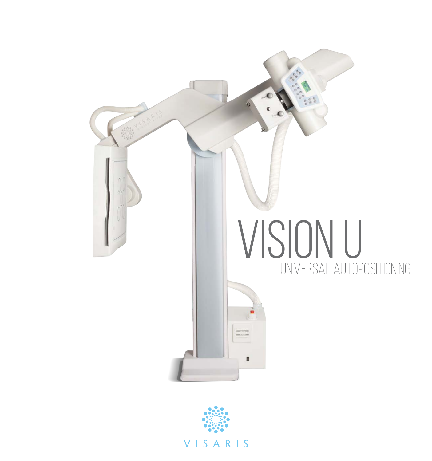

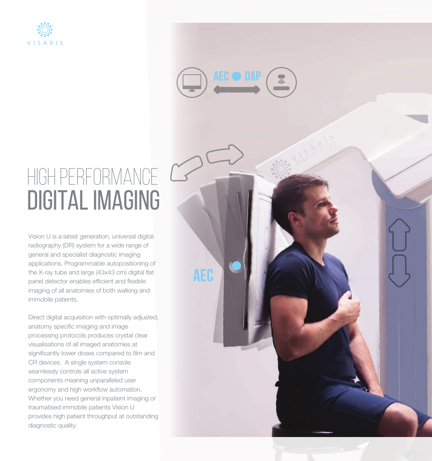



**aec**

# HIGH PERFORMANCE DIGITAL IMAGING

Vision U is a latest generation, universal digital radiography (DR) system for a wide range of general and specialist diagnostic imaging applications. Programmable autopositioning of the X-ray tube and large (43x43 cm) digital flat panel detector enables efficient and flexible imaging of all anatomies of both walking and immobile patients.

Direct digital acquisition with optimally adjusted, anatomy specific imaging and image processing protocols produces crystal clear visualisations of all imaged anatomies at significantly lower doses compared to film and CR devices. A single system console seamlessly controls all active system components meaning unparalleled user ergonomy and high workflow automation. Whether you need general inpatient imaging or traumatised immobile patients Vision U provides high patient throughput at outstanding diagnostic quality.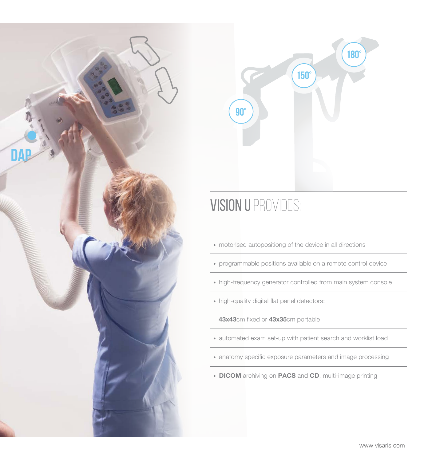



#### VISION U PROVIDES:

• motorised autopositiong of the device in all directions

• programmable positions available on a remote control device

- high-frequency generator controlled from main system console
- high-quality digital flat panel detectors:

43x43cm fixed or 43x35cm portable

- automated exam set-up with patient search and worklist load
- anatomy specific exposure parameters and image processing
- DICOM archiving on PACS and CD, multi-image printing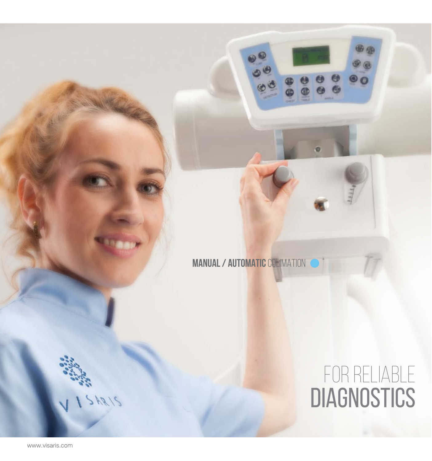

# For reliable **DIAGNOSTICS**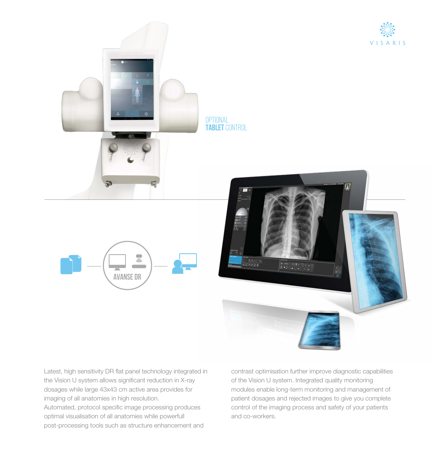







Latest, high sensitivity DR flat panel technology integrated in the Vision U system allows significant reduction in X-ray dosages while large 43x43 cm active area provides for imaging of all anatomies in high resolution. Automated, protocol specific image processing produces

optimal visualisation of all anatomies while powerfull post-processing tools such as structure enhancement and contrast optimisation further improve diagnostic capabilities of the Vision U system. Integrated quality monitoring modules enable long-term monitoring and management of patient dosages and rejected images to give you complete control of the imaging process and safety of your patients and co-workers.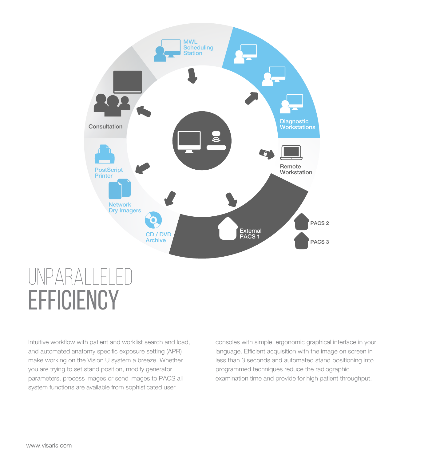

### UNPARALLELE **EFFICIENCY**

Intuitive workflow with patient and worklist search and load, and automated anatomy specific exposure setting (APR) make working on the Vision U system a breeze. Whether you are trying to set stand position, modify generator parameters, process images or send images to PACS all system functions are available from sophisticated user

consoles with simple, ergonomic graphical interface in your language. Efficient acquisition with the image on screen in less than 3 seconds and automated stand positioning into programmed techniques reduce the radiographic examination time and provide for high patient throughput.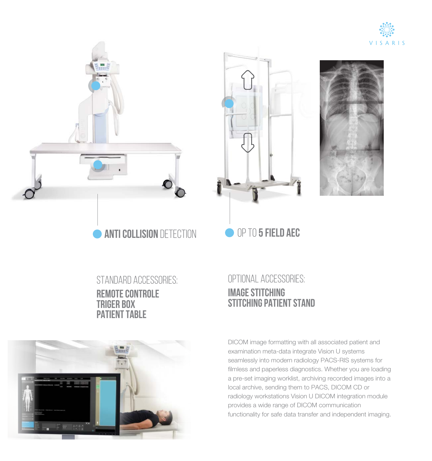







standard accessories: **remote controle triger box patient table**



#### optional accessories: **image stitching stitching patient stand**

DICOM image formatting with all associated patient and examination meta-data integrate Vision U systems seamlessly into modern radiology PACS-RIS systems for filmless and paperless diagnostics. Whether you are loading a pre-set imaging worklist, archiving recorded images into a local archive, sending them to PACS, DICOM CD or radiology workstations Vision U DICOM integration module provides a wide range of DICOM communication functionality for safe data transfer and independent imaging.